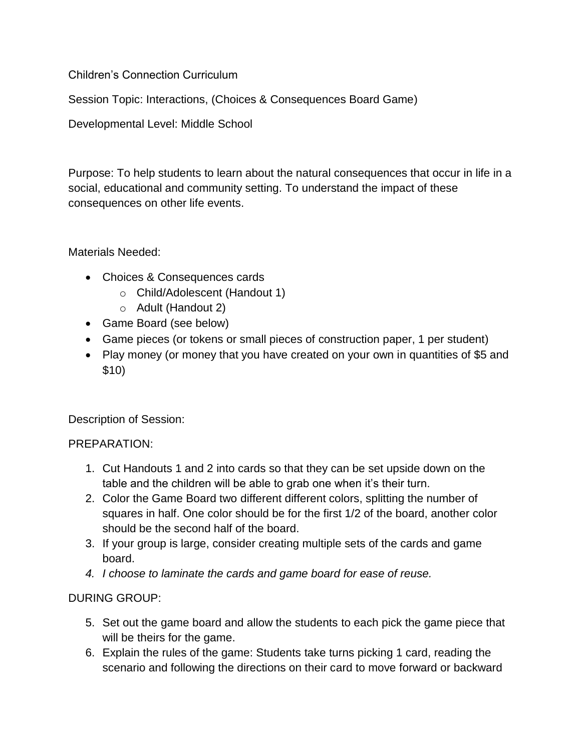Children's Connection Curriculum

Session Topic: Interactions, (Choices & Consequences Board Game)

Developmental Level: Middle School

Purpose: To help students to learn about the natural consequences that occur in life in a social, educational and community setting. To understand the impact of these consequences on other life events.

Materials Needed:

- Choices & Consequences cards
	- o Child/Adolescent (Handout 1)
	- o Adult (Handout 2)
- Game Board (see below)
- Game pieces (or tokens or small pieces of construction paper, 1 per student)
- Play money (or money that you have created on your own in quantities of \$5 and \$10)

Description of Session:

## PREPARATION:

- 1. Cut Handouts 1 and 2 into cards so that they can be set upside down on the table and the children will be able to grab one when it's their turn.
- 2. Color the Game Board two different different colors, splitting the number of squares in half. One color should be for the first 1/2 of the board, another color should be the second half of the board.
- 3. If your group is large, consider creating multiple sets of the cards and game board.
- *4. I choose to laminate the cards and game board for ease of reuse.*

## DURING GROUP:

- 5. Set out the game board and allow the students to each pick the game piece that will be theirs for the game.
- 6. Explain the rules of the game: Students take turns picking 1 card, reading the scenario and following the directions on their card to move forward or backward